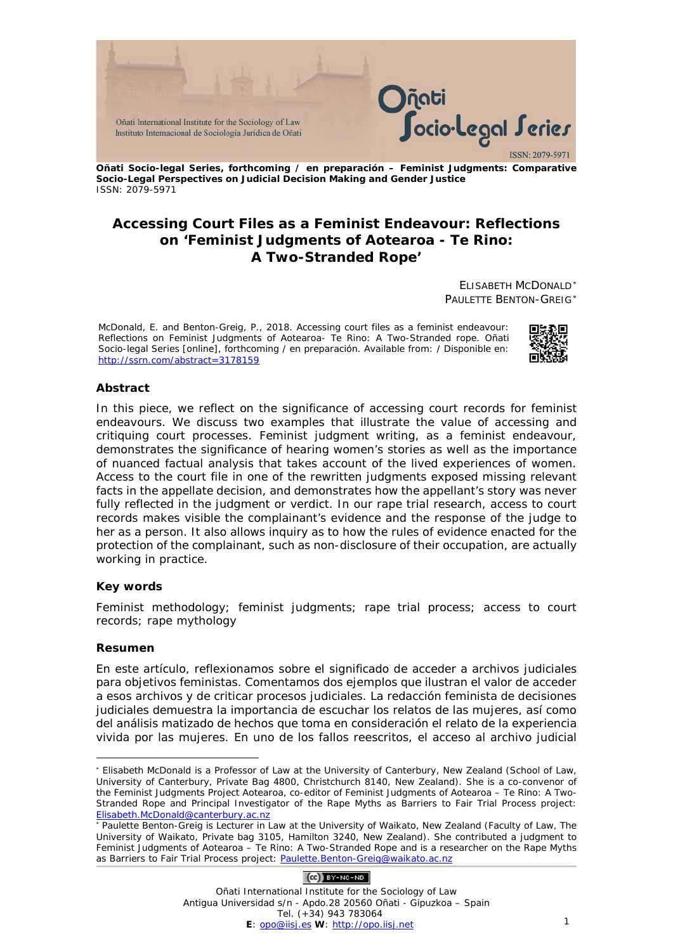

**Oñati Socio-legal Series, forthcoming / en preparación – Feminist Judgments: Comparative Socio-Legal Perspectives on Judicial Decision Making and Gender Justice** ISSN: 2079-5971

## **Accessing Court Files as a Feminist Endeavour: Reflections on 'Feminist Judgments of Aotearoa - Te Rino: A Two-Stranded Rope'**

ELISABETH MCDONALD[∗](#page-0-0) PAULETTE BENTON-GREIG[∗](#page-0-1)

McDonald, E. and Benton-Greig, P., 2018. Accessing court files as a feminist endeavour: Reflections on *Feminist Judgments of Aotearoa- Te Rino: A Two-Stranded rope*. *Oñati Socio-legal Series* [online], forthcoming / en preparación. Available from: / Disponible en: <http://ssrn.com/abstract=3178159>



#### **Abstract**

In this piece, we reflect on the significance of accessing court records for feminist endeavours. We discuss two examples that illustrate the value of accessing and critiquing court processes. Feminist judgment writing, as a feminist endeavour, demonstrates the significance of hearing women's stories as well as the importance of nuanced factual analysis that takes account of the lived experiences of women. Access to the court file in one of the rewritten judgments exposed missing relevant facts in the appellate decision, and demonstrates how the appellant's story was never fully reflected in the judgment or verdict. In our rape trial research, access to court records makes visible the complainant's evidence and the response of the judge to her as a person. It also allows inquiry as to how the rules of evidence enacted for the protection of the complainant, such as non-disclosure of their occupation, are actually working in practice.

#### **Key words**

Feminist methodology; feminist judgments; rape trial process; access to court records; rape mythology

#### **Resumen**

<u>.</u>

En este artículo, reflexionamos sobre el significado de acceder a archivos judiciales para objetivos feministas. Comentamos dos ejemplos que ilustran el valor de acceder a esos archivos y de criticar procesos judiciales. La redacción feminista de decisiones judiciales demuestra la importancia de escuchar los relatos de las mujeres, así como del análisis matizado de hechos que toma en consideración el relato de la experiencia vivida por las mujeres. En uno de los fallos reescritos, el acceso al archivo judicial

#### $(O<sub>c</sub>)$  BY-NC-ND

<span id="page-0-0"></span><sup>∗</sup> Elisabeth McDonald is a Professor of Law at the University of Canterbury, New Zealand (School of Law, University of Canterbury, Private Bag 4800, Christchurch 8140, New Zealand). She is a co-convenor of the Feminist Judgments Project Aotearoa, co-editor of *Feminist Judgments of Aotearoa – Te Rino: A Two-Stranded Rope* and Principal Investigator of the Rape Myths as Barriers to Fair Trial Process project: [Elisabeth.McDonald@canterbury.ac.nz](mailto:Elisabeth.McDonald@canterbury.ac.nz)

<span id="page-0-1"></span><sup>∗</sup> Paulette Benton-Greig is Lecturer in Law at the University of Waikato, New Zealand (Faculty of Law, The University of Waikato, Private bag 3105, Hamilton 3240, New Zealand). She contributed a judgment to *Feminist Judgments of Aotearoa – Te Rino: A Two-Stranded Rope* and is a researcher on the Rape Myths as Barriers to Fair Trial Process project: Paulette. Benton-Greig@waikato.ac.nz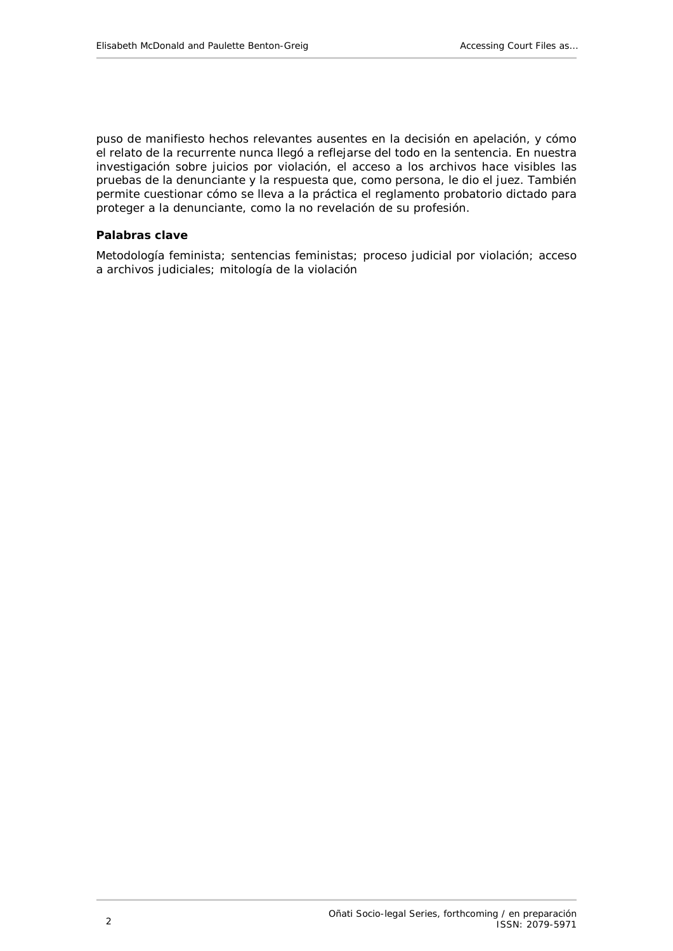puso de manifiesto hechos relevantes ausentes en la decisión en apelación, y cómo el relato de la recurrente nunca llegó a reflejarse del todo en la sentencia. En nuestra investigación sobre juicios por violación, el acceso a los archivos hace visibles las pruebas de la denunciante y la respuesta que, como persona, le dio el juez. También permite cuestionar cómo se lleva a la práctica el reglamento probatorio dictado para proteger a la denunciante, como la no revelación de su profesión.

#### **Palabras clave**

Metodología feminista; sentencias feministas; proceso judicial por violación; acceso a archivos judiciales; mitología de la violación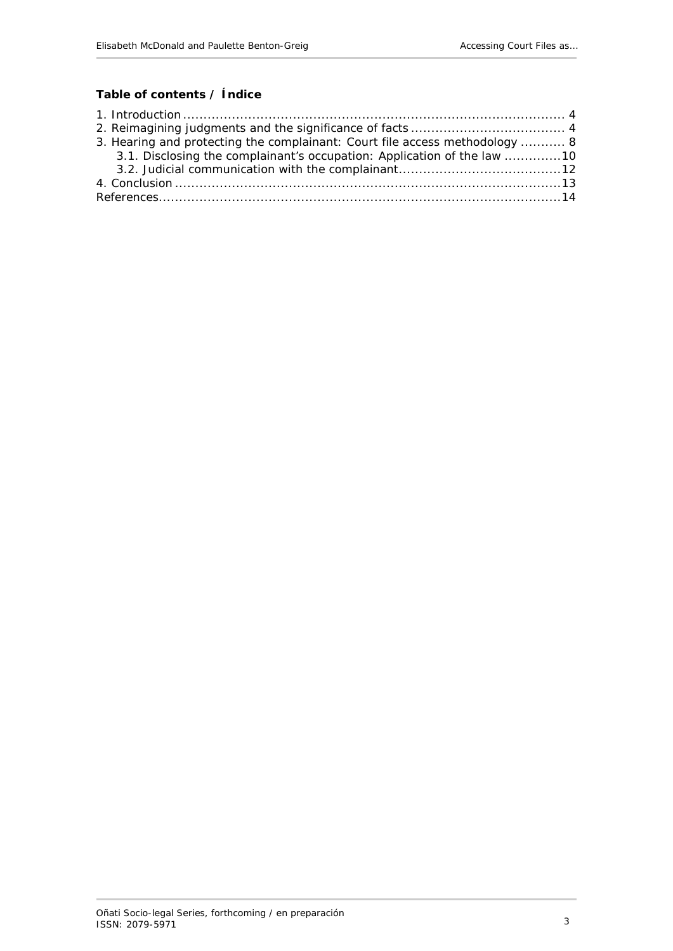# **Table of contents / Índice**

| 3. Hearing and protecting the complainant: Court file access methodology  8 |  |
|-----------------------------------------------------------------------------|--|
| 3.1. Disclosing the complainant's occupation: Application of the law 10     |  |
|                                                                             |  |
|                                                                             |  |
|                                                                             |  |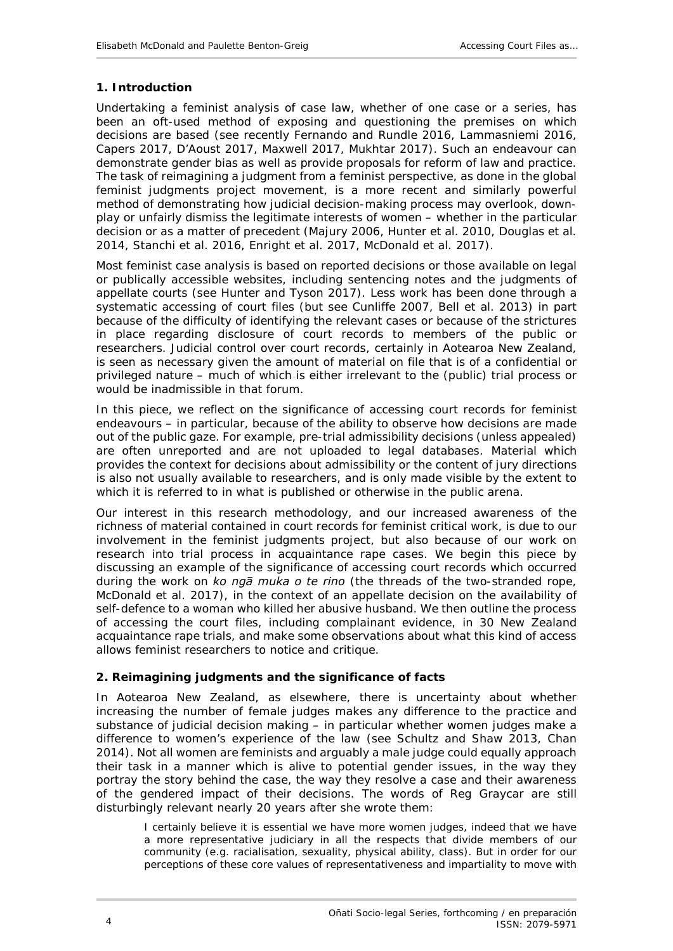#### <span id="page-3-0"></span>**1. Introduction**

Undertaking a feminist analysis of case law, whether of one case or a series, has been an oft-used method of exposing and questioning the premises on which decisions are based (see recently Fernando and Rundle 2016, Lammasniemi 2016, Capers 2017, D'Aoust 2017, Maxwell 2017, Mukhtar 2017). Such an endeavour can demonstrate gender bias as well as provide proposals for reform of law and practice. The task of reimagining a judgment from a feminist perspective, as done in the global feminist judgments project movement, is a more recent and similarly powerful method of demonstrating how judicial decision-making process may overlook, downplay or unfairly dismiss the legitimate interests of women – whether in the particular decision or as a matter of precedent (Majury 2006, Hunter *et al*. 2010, Douglas *et al.* 2014, Stanchi *et al*. 2016, Enright *et al*. 2017, McDonald *et al*. 2017).

Most feminist case analysis is based on reported decisions or those available on legal or publically accessible websites, including sentencing notes and the judgments of appellate courts (see Hunter and Tyson 2017). Less work has been done through a systematic accessing of court files (but see Cunliffe 2007, Bell *et al.* 2013) in part because of the difficulty of identifying the relevant cases or because of the strictures in place regarding disclosure of court records to members of the public or researchers. Judicial control over court records, certainly in Aotearoa New Zealand, is seen as necessary given the amount of material on file that is of a confidential or privileged nature – much of which is either irrelevant to the (public) trial process or would be inadmissible in that forum.

In this piece, we reflect on the significance of accessing court records for feminist endeavours – in particular, because of the ability to observe how decisions are made out of the public gaze. For example, pre-trial admissibility decisions (unless appealed) are often unreported and are not uploaded to legal databases. Material which provides the context for decisions about admissibility or the content of jury directions is also not usually available to researchers, and is only made visible by the extent to which it is referred to in what is published or otherwise in the public arena.

Our interest in this research methodology, and our increased awareness of the richness of material contained in court records for feminist critical work, is due to our involvement in the feminist judgments project, but also because of our work on research into trial process in acquaintance rape cases. We begin this piece by discussing an example of the significance of accessing court records which occurred during the work on *ko ngā muka o te rino* (the threads of the two-stranded rope, McDonald *et al*. 2017), in the context of an appellate decision on the availability of self-defence to a woman who killed her abusive husband. We then outline the process of accessing the court files, including complainant evidence, in 30 New Zealand acquaintance rape trials, and make some observations about what this kind of access allows feminist researchers to notice and critique.

#### <span id="page-3-1"></span>**2. Reimagining judgments and the significance of facts**

In Aotearoa New Zealand, as elsewhere, there is uncertainty about whether increasing the number of female judges makes any difference to the practice and substance of judicial decision making – in particular whether women judges make a difference to women's experience of the law (see Schultz and Shaw 2013, Chan 2014). Not all women are feminists and arguably a male judge could equally approach their task in a manner which is alive to potential gender issues, in the way they portray the story behind the case, the way they resolve a case and their awareness of the gendered impact of their decisions. The words of Reg Graycar are still disturbingly relevant nearly 20 years after she wrote them:

I certainly believe it is essential we have more women judges, indeed that we have a more representative judiciary in all the respects that divide members of our community (*e.g.* racialisation, sexuality, physical ability, class). But in order for our perceptions of these core values of representativeness and impartiality to move with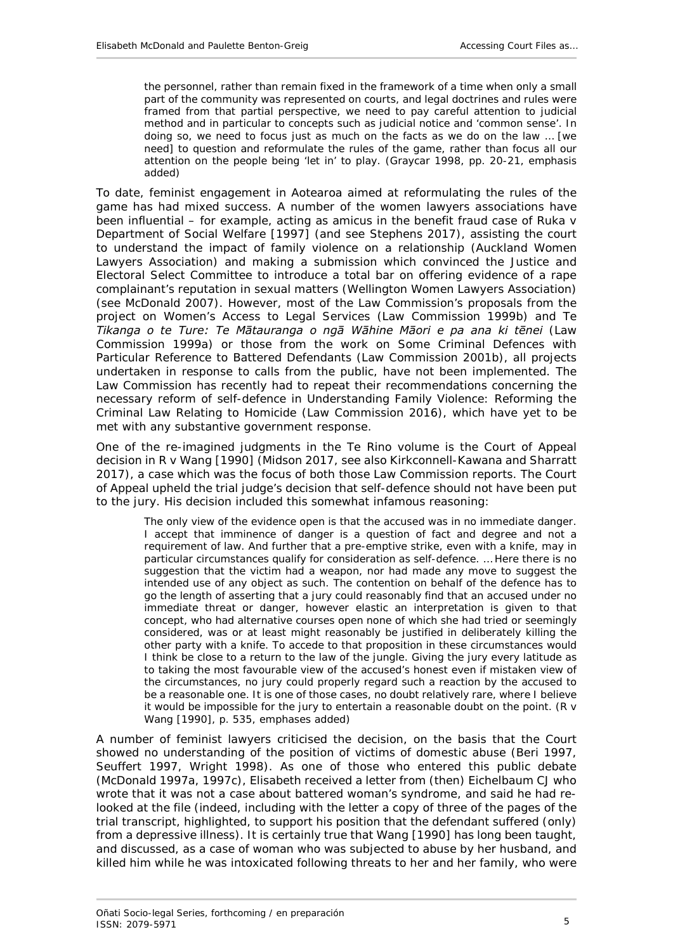the personnel, rather than remain fixed in the framework of a time when only a small part of the community was represented on courts, and legal doctrines and rules were framed from that partial perspective, we need to pay careful attention to judicial method and in particular to concepts such as judicial notice and 'common sense'. *In doing so, we need to focus just as much on the facts as we do on the law … [we need] to question and reformulate the rules of the game, rather than focus all our attention on the people being 'let in' to play*. (Graycar 1998, pp. 20-21, emphasis added)

To date, feminist engagement in Aotearoa aimed at *reformulating the rules of the game* has had mixed success. A number of the women lawyers associations have been influential – for example, acting as amicus in the benefit fraud case of *Ruka v Department of Social Welfare* [1997] (and see Stephens 2017), assisting the court to understand the impact of family violence on a relationship (Auckland Women Lawyers Association) and making a submission which convinced the Justice and Electoral Select Committee to introduce a total bar on offering evidence of a rape complainant's reputation in sexual matters (Wellington Women Lawyers Association) (see McDonald 2007). However, most of the Law Commission's proposals from the project on *Women's Access to Legal Services* (Law Commission 1999b) and *Te Tikanga o te Ture: Te Mātauranga o ngā Wāhine Māori e pa ana ki tēnei* (Law Commission 1999a) or those from the work on *Some Criminal Defences with Particular Reference to Battered Defendants* (Law Commission 2001b), all projects undertaken in response to calls from the public, have not been implemented. The Law Commission has recently had to repeat their recommendations concerning the necessary reform of self-defence in *Understanding Family Violence: Reforming the Criminal Law Relating to Homicide* (Law Commission 2016), which have yet to be met with any substantive government response.

One of the re-imagined judgments in the *Te Rino* volume is the Court of Appeal decision in *R v Wang* [1990] (Midson 2017, see also Kirkconnell-Kawana and Sharratt 2017), a case which was the focus of both those Law Commission reports. The Court of Appeal upheld the trial judge's decision that self-defence should not have been put to the jury. His decision included this somewhat infamous reasoning:

The only view of the evidence open is that the accused was in no immediate danger. I accept that imminence of danger is a question of fact and degree and not a requirement of law. And further that a pre-emptive strike, even with a knife, may in particular circumstances qualify for consideration as self-defence. … Here there is no suggestion that the victim had a weapon, nor had made any move to suggest the intended use of any object as such. The contention on behalf of the defence has to go the length of asserting that a jury could reasonably find that an accused under no immediate threat or danger, however elastic an interpretation is given to that concept, who had alternative courses open none of which she had tried or seemingly considered, was or at least might reasonably be justified in deliberately killing the other party with a knife. *To accede to that proposition in these circumstances would I think be close to a return to the law of the jungle.* Giving the jury every latitude as to taking the most favourable view of the accused's honest even if mistaken view of the circumstances, no jury could properly regard such a reaction by the accused to be a reasonable one. *It is one of those cases, no doubt relatively rare, where I believe it would be impossible for the jury to entertain a reasonable doubt on the point.* (*R v Wang* [1990], p. 535, emphases added)

A number of feminist lawyers criticised the decision, on the basis that the Court showed no understanding of the position of victims of domestic abuse (Beri 1997, Seuffert 1997, Wright 1998). As one of those who entered this public debate (McDonald 1997a, 1997c), Elisabeth received a letter from (then) Eichelbaum CJ who wrote that it was not a case about battered woman's syndrome, and said he had relooked at the file (indeed, including with the letter a copy of three of the pages of the trial transcript, highlighted, to support his position that the defendant suffered (only) from a depressive illness). It is certainly true that *Wang* [1990] has long been taught, and discussed, as a case of woman who was subjected to abuse by her husband, and killed him while he was intoxicated following threats to her and her family, who were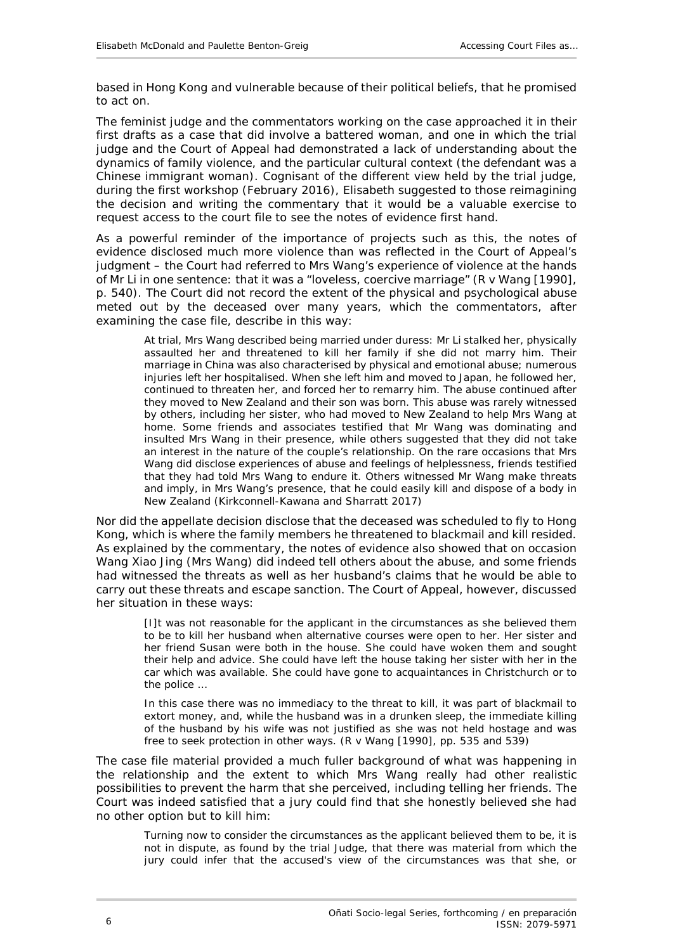based in Hong Kong and vulnerable because of their political beliefs, that he promised to act on.

The feminist judge and the commentators working on the case approached it in their first drafts as a case that did involve a *battered woman*, and one in which the trial judge and the Court of Appeal had demonstrated a lack of understanding about the dynamics of family violence, and the particular cultural context (the defendant was a Chinese immigrant woman). Cognisant of the different view held by the trial judge, during the first workshop (February 2016), Elisabeth suggested to those reimagining the decision and writing the commentary that it would be a valuable exercise to request access to the court file to see the notes of evidence first hand.

As a powerful reminder of the importance of projects such as this, the notes of evidence disclosed much more violence than was reflected in the Court of Appeal's judgment – the Court had referred to Mrs Wang's experience of violence at the hands of Mr Li in one sentence: that it was a "loveless, coercive marriage" (*R v Wang* [1990], p. 540). The Court did not record the extent of the physical and psychological abuse meted out by the deceased over many years, which the commentators, after examining the case file, describe in this way:

At trial, Mrs Wang described being married under duress: Mr Li stalked her, physically assaulted her and threatened to kill her family if she did not marry him. Their marriage in China was also characterised by physical and emotional abuse; numerous injuries left her hospitalised. When she left him and moved to Japan, he followed her, continued to threaten her, and forced her to remarry him. The abuse continued after they moved to New Zealand and their son was born. This abuse was rarely witnessed by others, including her sister, who had moved to New Zealand to help Mrs Wang at home. Some friends and associates testified that Mr Wang was dominating and insulted Mrs Wang in their presence, while others suggested that they did not take an interest in the nature of the couple's relationship. On the rare occasions that Mrs Wang did disclose experiences of abuse and feelings of helplessness, friends testified that they had told Mrs Wang to endure it. Others witnessed Mr Wang make threats and imply, in Mrs Wang's presence, that he could easily kill and dispose of a body in New Zealand (Kirkconnell-Kawana and Sharratt 2017)

Nor did the appellate decision disclose that the deceased was scheduled to fly to Hong Kong, which is where the family members he threatened to blackmail and kill resided. As explained by the commentary, the notes of evidence also showed that on occasion Wang Xiao Jing (Mrs Wang) did indeed tell others about the abuse, and some friends had witnessed the threats as well as her husband's claims that he would be able to carry out these threats and escape sanction. The Court of Appeal, however, discussed her situation in these ways:

[I]t was not reasonable for the applicant in the circumstances as she believed them to be to kill her husband when alternative courses were open to her. Her sister and her friend Susan were both in the house. She could have woken them and sought their help and advice. She could have left the house taking her sister with her in the car which was available. She could have gone to acquaintances in Christchurch or to the police …

In this case there was no immediacy to the threat to kill, it was part of blackmail to extort money, and, while the husband was in a drunken sleep, the immediate killing of the husband by his wife was not justified as she was not held hostage and was free to seek protection in other ways. (*R v Wang* [1990], pp. 535 and 539)

The case file material provided a much fuller background of what was happening in the relationship and the extent to which Mrs Wang really had other realistic possibilities to prevent the harm that she perceived, including telling her friends. The Court was indeed satisfied that a jury could find that she honestly believed she had no other option but to kill him:

Turning now to consider the circumstances as the applicant believed them to be, it is not in dispute, as found by the trial Judge, that there was material from which the jury could infer that the accused's view of the circumstances was that she, or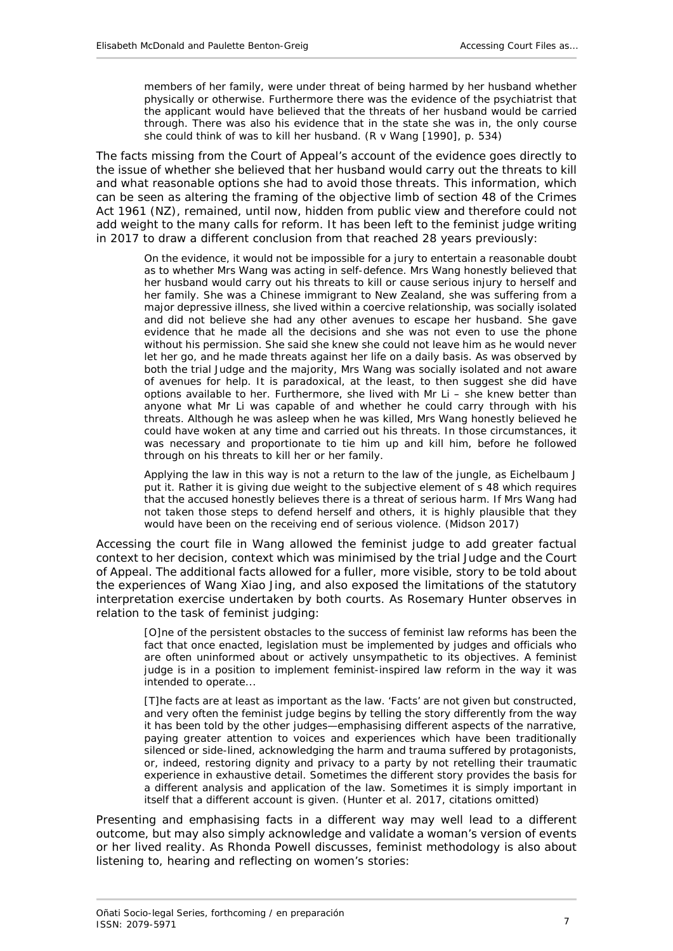members of her family, were under threat of being harmed by her husband whether physically or otherwise. Furthermore there was the evidence of the psychiatrist that the applicant would have believed that the threats of her husband would be carried through. There was also his evidence that in the state she was in, the only course she could think of was to kill her husband. (*R v Wang* [1990], p. 534)

The facts *missing* from the Court of Appeal's account of the evidence goes directly to the issue of whether she believed that her husband would carry out the threats to kill and what reasonable options she had to avoid those threats. This information, which can be seen as altering the framing of the objective limb of section 48 of the Crimes Act 1961 (NZ), remained, until now, hidden from public view and therefore could not add weight to the many calls for reform. It has been left to the feminist judge writing in 2017 to draw a different conclusion from that reached 28 years previously:

On the evidence, it would not be impossible for a jury to entertain a reasonable doubt as to whether Mrs Wang was acting in self-defence. Mrs Wang honestly believed that her husband would carry out his threats to kill or cause serious injury to herself and her family. She was a Chinese immigrant to New Zealand, she was suffering from a major depressive illness, she lived within a coercive relationship, was socially isolated and did not believe she had any other avenues to escape her husband. She gave evidence that he made all the decisions and she was not even to use the phone without his permission. She said she knew she could not leave him as he would never let her go, and he made threats against her life on a daily basis. As was observed by both the trial Judge and the majority, Mrs Wang was socially isolated and not aware of avenues for help. It is paradoxical, at the least, to then suggest she did have options available to her. Furthermore, she lived with Mr Li – she knew better than anyone what Mr Li was capable of and whether he could carry through with his threats. Although he was asleep when he was killed, Mrs Wang honestly believed he could have woken at any time and carried out his threats. In those circumstances, it was necessary and proportionate to tie him up and kill him, before he followed through on his threats to kill her or her family.

Applying the law in this way is not a return to the law of the jungle, as Eichelbaum J put it. Rather it is giving due weight to the subjective element of s 48 which requires that the accused honestly believes there is a threat of serious harm. If Mrs Wang had not taken those steps to defend herself and others, it is highly plausible that they would have been on the receiving end of serious violence. (Midson 2017)

Accessing the court file in *Wang* allowed the feminist judge to add greater factual context to her decision, context which was minimised by the trial Judge and the Court of Appeal. The additional facts allowed for a fuller, more visible, story to be told about the experiences of Wang Xiao Jing, and also exposed the limitations of the statutory interpretation exercise undertaken by both courts. As Rosemary Hunter observes in relation to the task of feminist judging:

[O]ne of the persistent obstacles to the success of feminist law reforms has been the fact that once enacted, legislation must be implemented by judges and officials who are often uninformed about or actively unsympathetic to its objectives. A feminist judge is in a position to implement feminist-inspired law reform in the way it was intended to operate...

[T]he facts are at least as important as the law. 'Facts' are not given but constructed, and very often the feminist judge begins by telling the story differently from the way it has been told by the other judges—emphasising different aspects of the narrative, paying greater attention to voices and experiences which have been traditionally silenced or side-lined, acknowledging the harm and trauma suffered by protagonists, or, indeed, restoring dignity and privacy to a party by not retelling their traumatic experience in exhaustive detail. Sometimes the different story provides the basis for a different analysis and application of the law. Sometimes it is simply important in itself that a different account is given. (Hunter *et al*. 2017, citations omitted)

Presenting and emphasising facts in a different way may well lead to a different outcome, but may also simply acknowledge and validate a woman's version of events or her lived reality. As Rhonda Powell discusses, feminist methodology is also about listening to, hearing and reflecting on women's stories: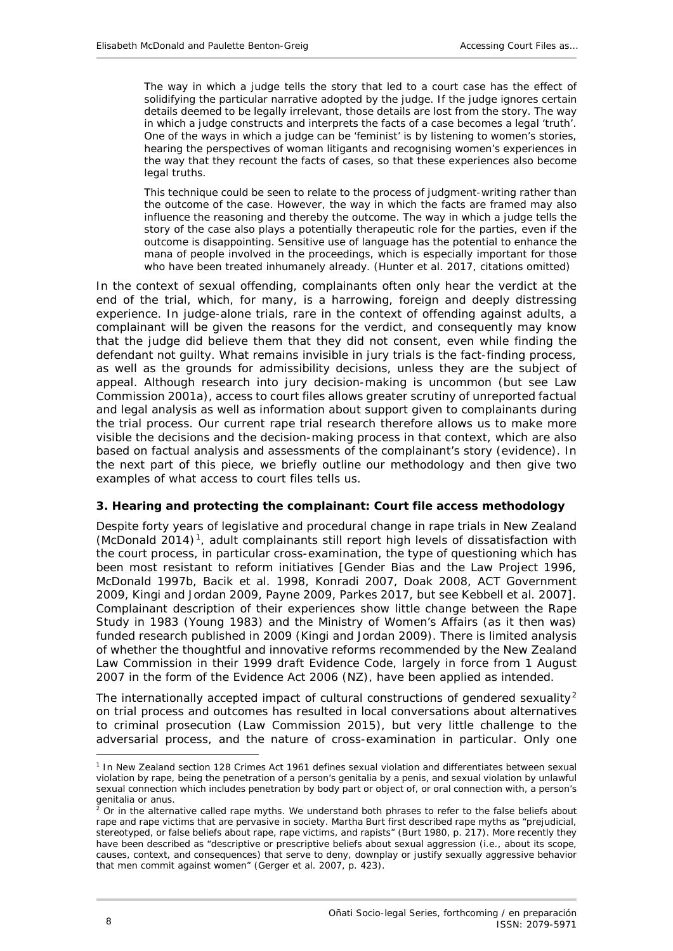The way in which a judge tells the story that led to a court case has the effect of solidifying the particular narrative adopted by the judge. If the judge ignores certain details deemed to be legally irrelevant, those details are lost from the story. The way in which a judge constructs and interprets the facts of a case becomes a legal 'truth'. One of the ways in which a judge can be 'feminist' is by listening to women's stories, hearing the perspectives of woman litigants and recognising women's experiences in the way that they recount the facts of cases, so that these experiences also become legal truths.

This technique could be seen to relate to the process of judgment-writing rather than the outcome of the case. However, the way in which the facts are framed may also influence the reasoning and thereby the outcome. The way in which a judge tells the story of the case also plays a potentially therapeutic role for the parties, even if the outcome is disappointing. Sensitive use of language has the potential to enhance the mana of people involved in the proceedings, which is especially important for those who have been treated inhumanely already. (Hunter *et al*. 2017, citations omitted)

In the context of sexual offending, complainants often only hear the verdict at the end of the trial, which, for many, is a harrowing, foreign and deeply distressing experience. In judge-alone trials, rare in the context of offending against adults, a complainant will be given the reasons for the verdict, and consequently may know that the judge did believe them that they did not consent, even while finding the defendant not guilty. What remains invisible in jury trials is the fact-finding process, as well as the grounds for admissibility decisions, unless they are the subject of appeal. Although research into jury decision-making is uncommon (but see Law Commission 2001a), access to court files allows greater scrutiny of unreported factual and legal analysis as well as information about support given to complainants during the trial process. Our current rape trial research therefore allows us to make more visible the decisions and the decision-making process in that context, which are also based on factual analysis and assessments of the complainant's story (evidence). In the next part of this piece, we briefly outline our methodology and then give two examples of what access to court files tells us.

#### <span id="page-7-0"></span>**3. Hearing and protecting the complainant: Court file access methodology**

Despite forty years of legislative and procedural change in rape trials in New Zealand (McDonald 2014) [1,](#page-7-1) adult complainants still report high levels of dissatisfaction with the court process, in particular cross-examination, the type of questioning which has been most resistant to reform initiatives [Gender Bias and the Law Project 1996, McDonald 1997b, Bacik *et al.* 1998, Konradi 2007, Doak 2008, ACT Government 2009, Kingi and Jordan 2009, Payne 2009, Parkes 2017, but see Kebbell *et al.* 2007]. Complainant description of their experiences show little change between the Rape Study in 1983 (Young 1983) and the Ministry of Women's Affairs (as it then was) funded research published in 2009 (Kingi and Jordan 2009). There is limited analysis of whether the thoughtful and innovative reforms recommended by the New Zealand Law Commission in their 1999 draft Evidence Code, largely in force from 1 August 2007 in the form of the Evidence Act 2006 (NZ), have been applied as intended.

The internationally accepted impact of cultural constructions of gendered sexuality<sup>[2](#page-7-2)</sup> on trial process and outcomes has resulted in local conversations about alternatives to criminal prosecution (Law Commission 2015), but very little challenge to the adversarial process, and the nature of cross-examination in particular. Only one

-

<span id="page-7-1"></span><sup>1</sup> In New Zealand section 128 Crimes Act 1961 defines sexual violation and differentiates between sexual violation by rape, being the penetration of a person's genitalia by a penis, and sexual violation by unlawful sexual connection which includes penetration by body part or object of, or oral connection with, a person's genitalia or anus.

<span id="page-7-2"></span><sup>2</sup> Or in the alternative called *rape myths*. We understand both phrases to refer to the false beliefs about rape and rape victims that are pervasive in society. Martha Burt first described rape myths as "prejudicial, stereotyped, or false beliefs about rape, rape victims, and rapists" (Burt 1980, p. 217). More recently they have been described as "descriptive or prescriptive beliefs about sexual aggression (i.e., about its scope, causes, context, and consequences) that serve to deny, downplay or justify sexually aggressive behavior that men commit against women" (Gerger *et al.* 2007, p. 423).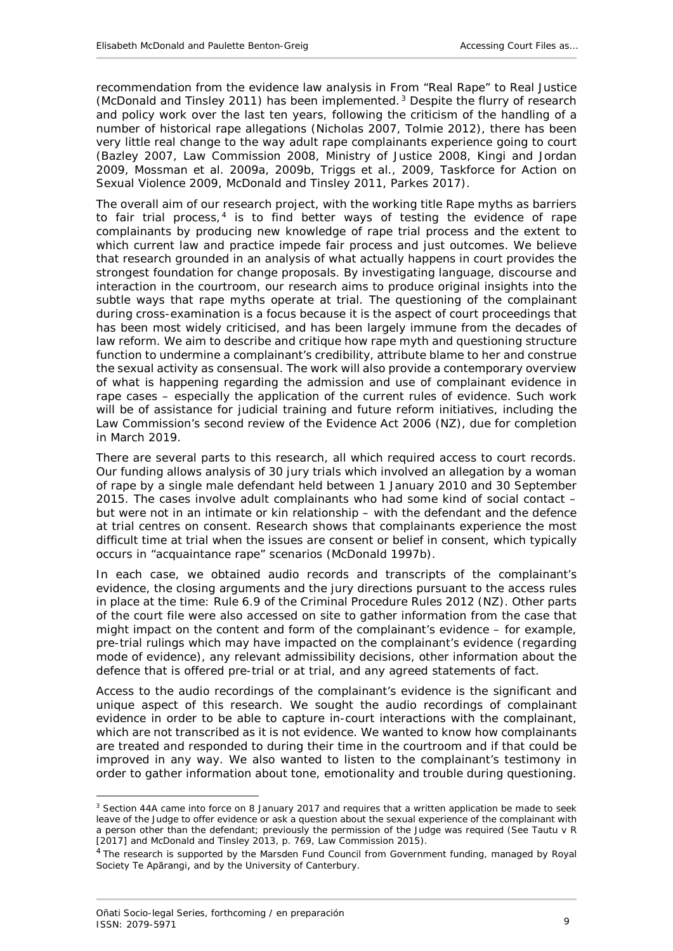recommendation from the evidence law analysis in *From "Real Rape" to Real Justice*  (McDonald and Tinsley 2011) has been implemented. [3](#page-8-0) Despite the flurry of research and policy work over the last ten years, following the criticism of the handling of a number of historical rape allegations (Nicholas 2007, Tolmie 2012), there has been very little real change to the way adult rape complainants experience going to court (Bazley 2007, Law Commission 2008, Ministry of Justice 2008, Kingi and Jordan 2009, Mossman *et al*. 2009a, 2009b, Triggs *et al*., 2009, Taskforce for Action on Sexual Violence 2009, McDonald and Tinsley 2011, Parkes 2017).

The overall aim of our research project, with the working title *Rape myths as barriers to fair trial process*, [4](#page-8-1) is to find better ways of testing the evidence of rape complainants by producing new knowledge of rape trial process and the extent to which current law and practice impede fair process and just outcomes. We believe that research grounded in an analysis of what actually happens in court provides the strongest foundation for change proposals. By investigating language, discourse and interaction in the courtroom, our research aims to produce original insights into the subtle ways that rape myths operate at trial. The questioning of the complainant during cross-examination is a focus because it is the aspect of court proceedings that has been most widely criticised, and has been largely immune from the decades of law reform. We aim to describe and critique how rape myth and questioning structure function to undermine a complainant's credibility, attribute blame to her and construe the sexual activity as consensual. The work will also provide a contemporary overview of what is happening regarding the admission and use of complainant evidence in rape cases – especially the application of the current rules of evidence. Such work will be of assistance for judicial training and future reform initiatives, including the Law Commission's second review of the Evidence Act 2006 (NZ), due for completion in March 2019.

There are several parts to this research, all which required access to court records. Our funding allows analysis of 30 jury trials which involved an allegation by a woman of rape by a single male defendant held between 1 January 2010 and 30 September 2015. The cases involve adult complainants who had some kind of social contact – but were not in an intimate or kin relationship – with the defendant and the defence at trial centres on consent. Research shows that complainants experience the most difficult time at trial when the issues are consent or belief in consent, which typically occurs in "acquaintance rape" scenarios (McDonald 1997b).

In each case, we obtained audio records and transcripts of the complainant's evidence, the closing arguments and the jury directions pursuant to the access rules in place at the time: Rule 6.9 of the Criminal Procedure Rules 2012 (NZ). Other parts of the court file were also accessed on site to gather information from the case that might impact on the content and form of the complainant's evidence – for example, pre-trial rulings which may have impacted on the complainant's evidence (regarding mode of evidence), any relevant admissibility decisions, other information about the defence that is offered pre-trial or at trial, and any agreed statements of fact.

Access to the audio recordings of the complainant's evidence is the significant and unique aspect of this research. We sought the audio recordings of complainant evidence in order to be able to capture in-court interactions with the complainant, which are not transcribed as it is not *evidence*. We wanted to know how complainants are treated and responded to during their time in the courtroom and if that could be improved in any way. We also wanted to listen to the complainant's testimony in order to gather information about tone, emotionality and *trouble* during questioning.

-

<span id="page-8-0"></span><sup>&</sup>lt;sup>3</sup> Section 44A came into force on 8 January 2017 and requires that a written application be made to seek leave of the Judge to offer evidence or ask a question about the sexual experience of the complainant with a person other than the defendant; previously the permission of the Judge was required (See *Tautu v R* [2017] and McDonald and Tinsley 2013, p. 769, Law Commission 2015).

<span id="page-8-1"></span><sup>&</sup>lt;sup>4</sup> The research is supported by the Marsden Fund Council from Government funding, managed by Royal Society Te Apārangi, and by the University of Canterbury.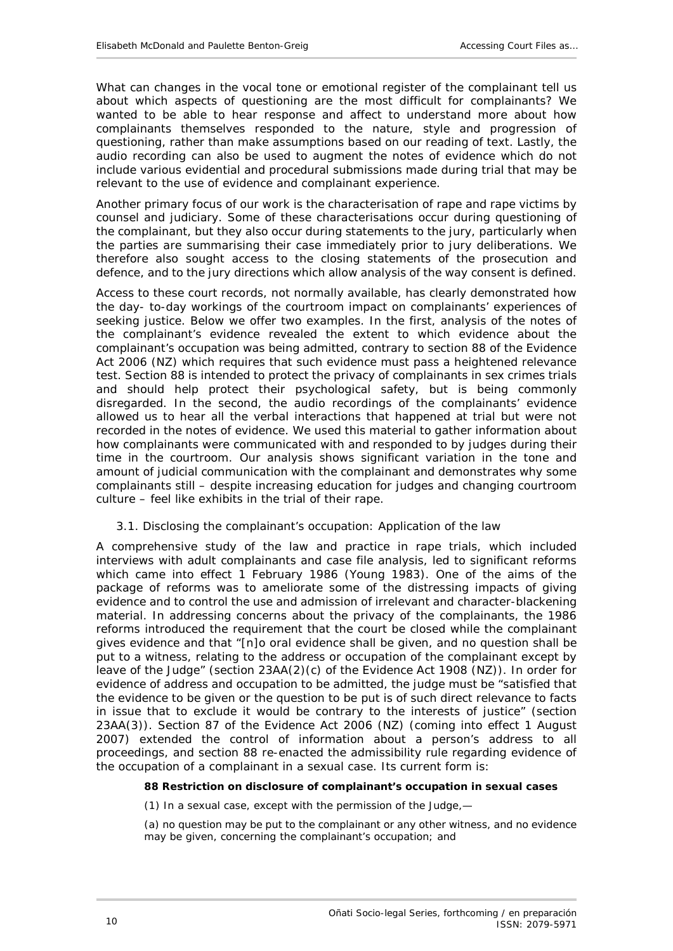What can changes in the vocal tone or emotional register of the complainant tell us about which aspects of questioning are the most difficult for complainants? We wanted to be able to hear response and affect to understand more about how complainants themselves responded to the nature, style and progression of questioning, rather than make assumptions based on our reading of text. Lastly, the audio recording can also be used to augment the notes of evidence which do not include various evidential and procedural submissions made during trial that may be relevant to the use of evidence and complainant experience.

Another primary focus of our work is the characterisation of rape and rape victims by counsel and judiciary. Some of these characterisations occur during questioning of the complainant, but they also occur during statements to the jury, particularly when the parties are summarising their case immediately prior to jury deliberations. We therefore also sought access to the closing statements of the prosecution and defence, and to the jury directions which allow analysis of the way consent is defined.

Access to these court records, not normally available, has clearly demonstrated how the day- to-day workings of the courtroom impact on complainants' experiences of seeking justice. Below we offer two examples. In the first, analysis of the notes of the complainant's evidence revealed the extent to which evidence about the complainant's occupation was being admitted, contrary to section 88 of the Evidence Act 2006 (NZ) which requires that such evidence must pass a heightened relevance test. Section 88 is intended to protect the privacy of complainants in sex crimes trials and should help protect their psychological safety, but is being commonly disregarded. In the second, the audio recordings of the complainants' evidence allowed us to hear all the verbal interactions that happened at trial but were not recorded in the notes of evidence. We used this material to gather information about how complainants were communicated with and responded to by judges during their time in the courtroom. Our analysis shows significant variation in the tone and amount of judicial communication with the complainant and demonstrates why some complainants still – despite increasing education for judges and changing courtroom culture – feel like exhibits in the trial of their rape.

#### <span id="page-9-0"></span>*3.1. Disclosing the complainant's occupation: Application of the law*

A comprehensive study of the law and practice in rape trials, which included interviews with adult complainants and case file analysis, led to significant reforms which came into effect 1 February 1986 (Young 1983). One of the aims of the package of reforms was to ameliorate some of the distressing impacts of giving evidence and to control the use and admission of irrelevant and character-blackening material. In addressing concerns about the privacy of the complainants, the 1986 reforms introduced the requirement that the court be closed while the complainant gives evidence and that "[n]o oral evidence shall be given, and no question shall be put to a witness, relating to the address or occupation of the complainant except by leave of the Judge" (section 23AA(2)(c) of the Evidence Act 1908 (NZ)). In order for evidence of address and occupation to be admitted, the judge must be "satisfied that the evidence to be given or the question to be put is of such direct relevance to facts in issue that to exclude it would be contrary to the interests of justice" (section 23AA(3)). Section 87 of the Evidence Act 2006 (NZ) (coming into effect 1 August 2007) extended the control of information about a person's address to all proceedings, and section 88 re-enacted the admissibility rule regarding evidence of the occupation of a complainant in a sexual case. Its current form is:

#### **88 Restriction on disclosure of complainant's occupation in sexual cases**

(1) In a sexual case, except with the permission of the Judge,—

(a) no question may be put to the complainant or any other witness, and no evidence may be given, concerning the complainant's occupation; and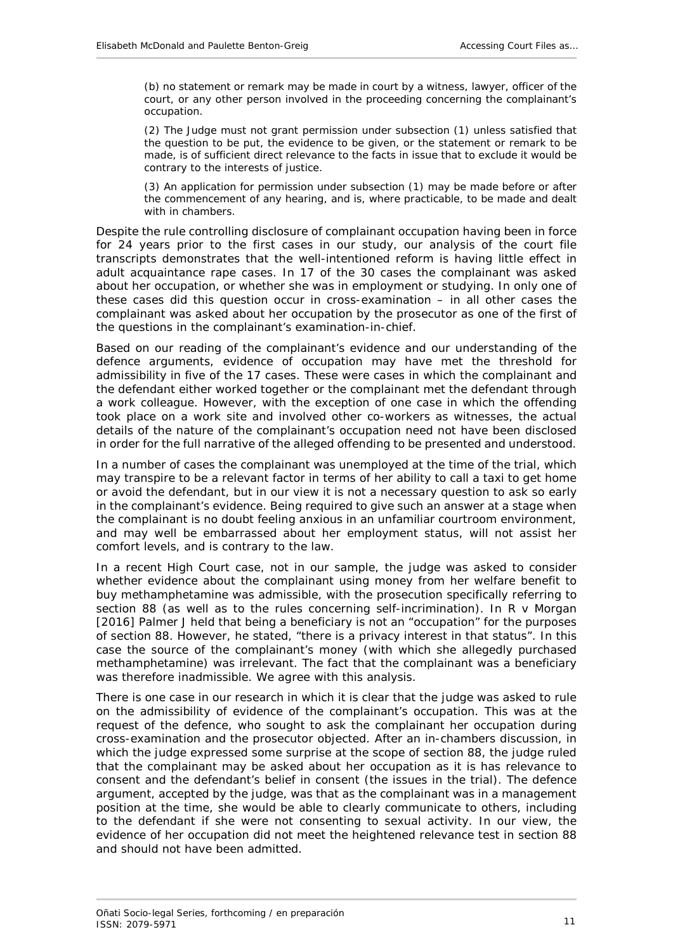(b) no statement or remark may be made in court by a witness, lawyer, officer of the court, or any other person involved in the proceeding concerning the complainant's occupation.

(2) The Judge must not grant permission under subsection [\(1\)](https://www-westlaw-co-nz.ezproxy.canterbury.ac.nz/maf/wlnz/app/document?docguid=Idbd1f5f5e12311e08eefa443f89988a0&&src=rl&hitguid=Ifc5639c1e03611e08eefa443f89988a0&snippets=true&startChunk=1&endChunk=1&isTocNav=true&tocDs=AUNZ_NZ_LEGCOMM_TOC#anchor_Ifc5639c1e03611e08eefa443f89988a0) unless satisfied that the question to be put, the evidence to be given, or the statement or remark to be made, is of sufficient direct relevance to the facts in issue that to exclude it would be contrary to the interests of justice.

(3) An application for permission under subsection [\(1\)](https://www-westlaw-co-nz.ezproxy.canterbury.ac.nz/maf/wlnz/app/document?docguid=Idbd1f5f5e12311e08eefa443f89988a0&&src=rl&hitguid=Ifc5639c1e03611e08eefa443f89988a0&snippets=true&startChunk=1&endChunk=1&isTocNav=true&tocDs=AUNZ_NZ_LEGCOMM_TOC#anchor_Ifc5639c1e03611e08eefa443f89988a0) may be made before or after the commencement of any hearing, and is, where practicable, to be made and dealt with in chambers.

Despite the rule controlling disclosure of complainant occupation having been in force for 24 years prior to the first cases in our study, our analysis of the court file transcripts demonstrates that the well-intentioned reform is having little effect in adult acquaintance rape cases. In 17 of the 30 cases the complainant was asked about her occupation, or whether she was in employment or studying. In only one of these cases did this question occur in cross-examination – in all other cases the complainant was asked about her occupation by the prosecutor as one of the first of the questions in the complainant's examination-in-chief.

Based on our reading of the complainant's evidence and our understanding of the defence arguments, evidence of occupation may have met the threshold for admissibility in five of the 17 cases. These were cases in which the complainant and the defendant either worked together or the complainant met the defendant through a work colleague. However, with the exception of one case in which the offending took place on a work site and involved other co-workers as witnesses, the actual details of the nature of the complainant's occupation need not have been disclosed in order for the full narrative of the alleged offending to be presented and understood.

In a number of cases the complainant was unemployed at the time of the trial, which may transpire to be a relevant factor in terms of her ability to call a taxi to get home or avoid the defendant, but in our view it is not a necessary question to ask so early in the complainant's evidence. Being required to give such an answer at a stage when the complainant is no doubt feeling anxious in an unfamiliar courtroom environment, and may well be embarrassed about her employment status, will not assist her comfort levels, and is contrary to the law.

In a recent High Court case, not in our sample, the judge was asked to consider whether evidence about the complainant using money from her welfare benefit to buy methamphetamine was admissible, with the prosecution specifically referring to section 88 (as well as to the rules concerning self-incrimination). In *R v Morgan* [2016] Palmer J held that being a beneficiary is not an "occupation" for the purposes of section [88.](https://www-westlaw-co-nz.ezproxy.canterbury.ac.nz/maf/wlnz/app/document?docguid=Idbd1f5f5e12311e08eefa443f89988a0&&src=rl&hitguid=Ifc5612c2e03611e08eefa443f89988a0&snippets=true&startChunk=1&endChunk=1&isTocNav=true&tocDs=AUNZ_NZ_LEGCOMM_TOC#anchor_Ifc5612c2e03611e08eefa443f89988a0) However, he stated, "there is a privacy interest in that status". In this case the source of the complainant's money (with which she allegedly purchased methamphetamine) was irrelevant. The fact that the complainant was a beneficiary was therefore inadmissible. We agree with this analysis.

There is one case in our research in which it is clear that the judge was asked to rule on the admissibility of evidence of the complainant's occupation. This was at the request of the defence, who sought to ask the complainant her occupation during cross-examination and the prosecutor objected. After an in-chambers discussion, in which the judge expressed some surprise at the scope of section 88, the judge ruled that the complainant may be asked about her occupation as it is has relevance to consent and the defendant's belief in consent (the issues in the trial). The defence argument, accepted by the judge, was that as the complainant was in a management position at the time, she would be able to clearly communicate to others, including to the defendant if she were not consenting to sexual activity. In our view, the evidence of her occupation did not meet the heightened relevance test in section 88 and should not have been admitted.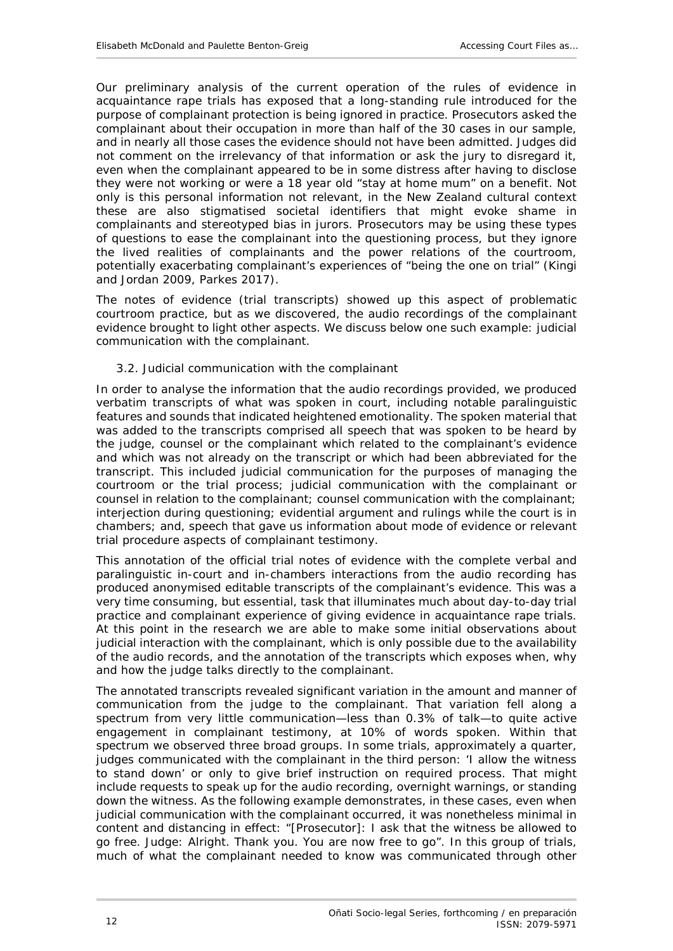Our preliminary analysis of the current operation of the rules of evidence in acquaintance rape trials has exposed that a long-standing rule introduced for the purpose of complainant protection is being ignored in practice. Prosecutors asked the complainant about their occupation in more than half of the 30 cases in our sample, and in nearly all those cases the evidence should not have been admitted. Judges did not comment on the irrelevancy of that information or ask the jury to disregard it, even when the complainant appeared to be in some distress after having to disclose they were not working or were a 18 year old "stay at home mum" on a benefit. Not only is this personal information not relevant, in the New Zealand cultural context these are also stigmatised societal identifiers that might evoke shame in complainants and stereotyped bias in jurors. Prosecutors may be using these types of questions to ease the complainant into the questioning process, but they ignore the lived realities of complainants and the power relations of the courtroom, potentially exacerbating complainant's experiences of "being the one on trial" (Kingi and Jordan 2009, Parkes 2017).

The notes of evidence (trial transcripts) showed up this aspect of problematic courtroom practice, but as we discovered, the audio recordings of the complainant evidence brought to light other aspects. We discuss below one such example: judicial communication with the complainant.

## <span id="page-11-0"></span>*3.2. Judicial communication with the complainant*

In order to analyse the information that the audio recordings provided, we produced verbatim transcripts of what was spoken in court, including notable paralinguistic features and sounds that indicated heightened emotionality. The spoken material that was added to the transcripts comprised all speech that was spoken to be heard by the judge, counsel or the complainant which related to the complainant's evidence and which was not already on the transcript or which had been abbreviated for the transcript. This included judicial communication for the purposes of managing the courtroom or the trial process; judicial communication with the complainant or counsel in relation to the complainant; counsel communication with the complainant; interjection during questioning; evidential argument and rulings while the court is in chambers; and, speech that gave us information about mode of evidence or relevant trial procedure aspects of complainant testimony.

This annotation of the official trial notes of evidence with the complete verbal and paralinguistic in-court and in-chambers interactions from the audio recording has produced anonymised editable transcripts of the complainant's evidence. This was a very time consuming, but essential, task that illuminates much about day-to-day trial practice and complainant experience of giving evidence in acquaintance rape trials. At this point in the research we are able to make some initial observations about judicial interaction with the complainant, which is only possible due to the availability of the audio records, and the annotation of the transcripts which exposes when, why and how the judge talks directly to the complainant.

The annotated transcripts revealed significant variation in the amount and manner of communication from the judge to the complainant. That variation fell along a spectrum from very little communication—less than 0.3% of talk—to quite active engagement in complainant testimony, at 10% of words spoken. Within that spectrum we observed three broad groups. In some trials, approximately a quarter, judges communicated with the complainant in the third person: 'I allow the witness to stand down' or only to give brief instruction on required process. That might include requests to speak up for the audio recording, overnight warnings, or standing down the witness. As the following example demonstrates, in these cases, even when judicial communication with the complainant occurred, it was nonetheless minimal in content and distancing in effect: "[Prosecutor]: I ask that the witness be allowed to go free. Judge: Alright. Thank you. You are now free to go". In this group of trials, much of what the complainant needed to know was communicated through other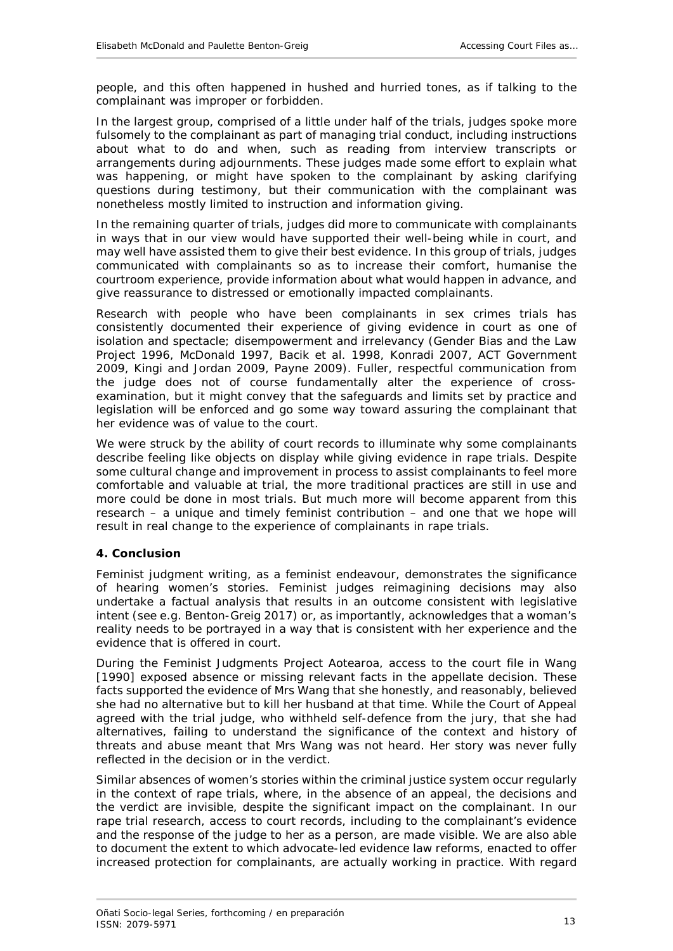people, and this often happened in hushed and hurried tones, as if talking to the complainant was improper or forbidden.

In the largest group, comprised of a little under half of the trials, judges spoke more fulsomely to the complainant as part of managing trial conduct, including instructions about what to do and when, such as reading from interview transcripts or arrangements during adjournments. These judges made some effort to explain what was happening, or might have spoken to the complainant by asking clarifying questions during testimony, but their communication with the complainant was nonetheless mostly limited to instruction and information giving.

In the remaining quarter of trials, judges did more to communicate with complainants in ways that in our view would have supported their well-being while in court, and may well have assisted them to give their best evidence. In this group of trials, judges communicated with complainants so as to increase their comfort, humanise the courtroom experience, provide information about what would happen in advance, and give reassurance to distressed or emotionally impacted complainants.

Research with people who have been complainants in sex crimes trials has consistently documented their experience of giving evidence in court as one of isolation and spectacle; disempowerment and irrelevancy (Gender Bias and the Law Project 1996, McDonald 1997, Bacik *et al.* 1998, Konradi 2007, ACT Government 2009, Kingi and Jordan 2009, Payne 2009). Fuller, respectful communication from the judge does not of course fundamentally alter the experience of crossexamination, but it might convey that the safeguards and limits set by practice and legislation will be enforced and go some way toward assuring the complainant that her evidence was of value to the court.

We were struck by the ability of court records to illuminate why some complainants describe feeling like objects on display while giving evidence in rape trials. Despite some cultural change and improvement in process to assist complainants to feel more comfortable and valuable at trial, the more traditional practices are still in use and more could be done in most trials. But much more will become apparent from this research – a unique and timely feminist contribution – and one that we hope will result in real change to the experience of complainants in rape trials.

## <span id="page-12-0"></span>**4. Conclusion**

Feminist judgment writing, as a feminist endeavour, demonstrates the significance of hearing women's stories. Feminist judges reimagining decisions may also undertake a factual analysis that results in an outcome consistent with legislative intent (see e.g. Benton-Greig 2017) or, as importantly, acknowledges that a woman's reality needs to be portrayed in a way that is consistent with her experience and the evidence that is offered in court.

During the Feminist Judgments Project Aotearoa, access to the court file in *Wang* [1990] exposed absence or missing relevant facts in the appellate decision. These facts supported the evidence of Mrs Wang that she honestly, and reasonably, believed she had no alternative but to kill her husband at that time. While the Court of Appeal agreed with the trial judge, who withheld self-defence from the jury, that she had alternatives, failing to understand the significance of the context and history of threats and abuse meant that Mrs Wang was not heard. Her story was never fully reflected in the decision or in the verdict.

Similar absences of women's stories within the criminal justice system occur regularly in the context of rape trials, where, in the absence of an appeal, the decisions and the verdict are invisible, despite the significant impact on the complainant. In our rape trial research, access to court records, including to the complainant's evidence and the response of the judge to her as a person, are made visible. We are also able to document the extent to which advocate-led evidence law reforms, enacted to offer increased protection for complainants, are actually working in practice. With regard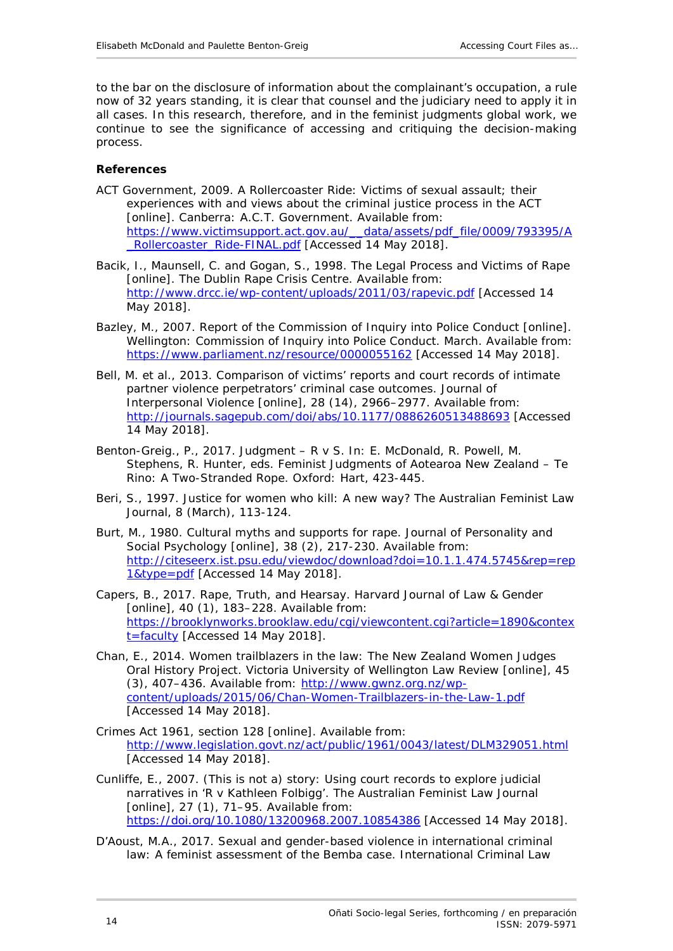to the bar on the disclosure of information about the complainant's occupation, a rule now of 32 years standing, it is clear that counsel and the judiciary need to apply it in all cases. In this research, therefore, and in the feminist judgments global work, we continue to see the significance of accessing and critiquing the decision-making process.

#### <span id="page-13-0"></span>**References**

- ACT Government, 2009. *A Rollercoaster Ride: Victims of sexual assault; their experiences with and views about the criminal justice process in the ACT* [online]. Canberra: A.C.T. Government. Available from: [https://www.victimsupport.act.gov.au/\\_\\_data/assets/pdf\\_file/0009/793395/A](https://www.victimsupport.act.gov.au/__data/assets/pdf_file/0009/793395/A_Rollercoaster_Ride-FINAL.pdf) [\\_Rollercoaster\\_Ride-FINAL.pdf](https://www.victimsupport.act.gov.au/__data/assets/pdf_file/0009/793395/A_Rollercoaster_Ride-FINAL.pdf) [Accessed 14 May 2018].
- Bacik, I., Maunsell, C. and Gogan, S., 1998. *The Legal Process and Victims of Rape* [online]. The Dublin Rape Crisis Centre. Available from: <http://www.drcc.ie/wp-content/uploads/2011/03/rapevic.pdf> [Accessed 14 May 2018].
- Bazley, M., 2007. *Report of the Commission of Inquiry into Police Conduct* [online]. Wellington: Commission of Inquiry into Police Conduct. March. Available from: <https://www.parliament.nz/resource/0000055162> [Accessed 14 May 2018].
- Bell, M. *et al*., 2013. Comparison of victims' reports and court records of intimate partner violence perpetrators' criminal case outcomes. *Journal of Interpersonal Violence* [online], 28 (14), 2966–2977. Available from: <http://journals.sagepub.com/doi/abs/10.1177/0886260513488693> [Accessed 14 May 2018].
- Benton-Greig., P., 2017. Judgment R v S. *In*: E. McDonald, R. Powell, M. Stephens, R. Hunter, eds. *Feminist Judgments of Aotearoa New Zealand – Te Rino: A Two-Stranded Rope*. Oxford: Hart, 423-445.
- Beri, S., 1997. Justice for women who kill: A new way? *The Australian Feminist Law Journal*, 8 (March), 113-124.
- Burt, M., 1980. Cultural myths and supports for rape. *Journal of Personality and Social Psychology* [online], 38 (2), 217-230. Available from: [http://citeseerx.ist.psu.edu/viewdoc/download?doi=10.1.1.474.5745&rep=rep](http://citeseerx.ist.psu.edu/viewdoc/download?doi=10.1.1.474.5745&rep=rep1&type=pdf) [1&type=pdf](http://citeseerx.ist.psu.edu/viewdoc/download?doi=10.1.1.474.5745&rep=rep1&type=pdf) [Accessed 14 May 2018].
- Capers, B., 2017. Rape, Truth, and Hearsay. *Harvard Journal of Law & Gender* [online], 40 (1), 183-228. Available from: [https://brooklynworks.brooklaw.edu/cgi/viewcontent.cgi?article=1890&contex](https://brooklynworks.brooklaw.edu/cgi/viewcontent.cgi?article=1890&context=faculty) [t=faculty](https://brooklynworks.brooklaw.edu/cgi/viewcontent.cgi?article=1890&context=faculty) [Accessed 14 May 2018].
- Chan, E., 2014. Women trailblazers in the law: The New Zealand Women Judges Oral History Project. *Victoria University of Wellington Law Review* [online], 45 (3), 407–436. Available from: [http://www.gwnz.org.nz/wp](http://www.gwnz.org.nz/wp-content/uploads/2015/06/Chan-Women-Trailblazers-in-the-Law-1.pdf)[content/uploads/2015/06/Chan-Women-Trailblazers-in-the-Law-1.pdf](http://www.gwnz.org.nz/wp-content/uploads/2015/06/Chan-Women-Trailblazers-in-the-Law-1.pdf) [Accessed 14 May 2018].
- Crimes Act 1961, section 128 [online]. Available from: <http://www.legislation.govt.nz/act/public/1961/0043/latest/DLM329051.html> [Accessed 14 May 2018].
- Cunliffe, E., 2007. (This is not a) story: Using court records to explore judicial narratives in 'R v Kathleen Folbigg'. *The Australian Feminist Law Journal* [online], 27 (1), 71-95. Available from: <https://doi.org/10.1080/13200968.2007.10854386> [Accessed 14 May 2018].
- D'Aoust, M.A., 2017. Sexual and gender-based violence in international criminal law: A feminist assessment of the Bemba case. *International Criminal Law*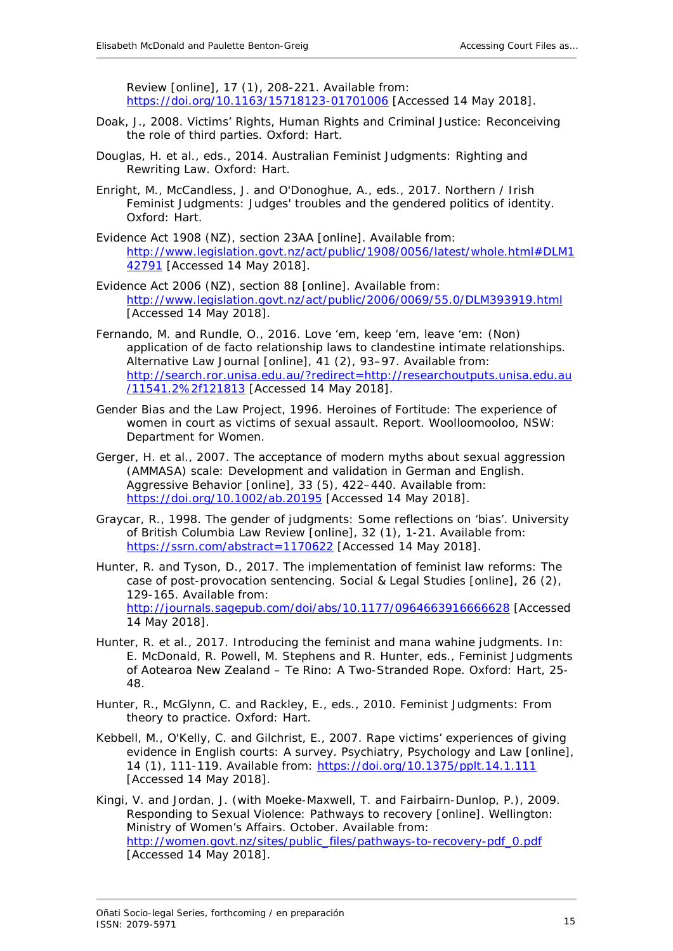*Review* [online], 17 (1), 208-221. Available from: <https://doi.org/10.1163/15718123-01701006> [Accessed 14 May 2018].

- Doak, J., 2008*. Victims' Rights, Human Rights and Criminal Justice: Reconceiving the role of third parties*. Oxford: Hart.
- Douglas, H. *et al*., eds., 2014. *Australian Feminist Judgments: Righting and Rewriting Law.* Oxford: Hart.
- Enright, M., McCandless, J. and O'Donoghue, A., eds., 2017. *Northern / Irish Feminist Judgments: Judges' troubles and the gendered politics of identity.* Oxford: Hart.
- Evidence Act 1908 (NZ), section 23AA [online]. Available from: [http://www.legislation.govt.nz/act/public/1908/0056/latest/whole.html#DLM1](http://www.legislation.govt.nz/act/public/1908/0056/latest/whole.html#DLM142791) [42791](http://www.legislation.govt.nz/act/public/1908/0056/latest/whole.html#DLM142791) [Accessed 14 May 2018].
- Evidence Act 2006 (NZ), section 88 [online]. Available from: <http://www.legislation.govt.nz/act/public/2006/0069/55.0/DLM393919.html> [Accessed 14 May 2018].
- Fernando, M. and Rundle, O., 2016. Love 'em, keep 'em, leave 'em: (Non) application of de facto relationship laws to clandestine intimate relationships. *Alternative Law Journal* [online], 41 (2), 93–97. Available from: [http://search.ror.unisa.edu.au/?redirect=http://researchoutputs.unisa.edu.au](http://search.ror.unisa.edu.au/?redirect=http://researchoutputs.unisa.edu.au/11541.2%2f121813) [/11541.2%2f121813](http://search.ror.unisa.edu.au/?redirect=http://researchoutputs.unisa.edu.au/11541.2%2f121813) [Accessed 14 May 2018].
- Gender Bias and the Law Project, 1996. *Heroines of Fortitude: The experience of women in court as victims of sexual assault.* Report. Woolloomooloo, NSW: Department for Women.
- Gerger, H. *et al*., 2007. The acceptance of modern myths about sexual aggression (AMMASA) scale: Development and validation in German and English. *Aggressive Behavior* [online], 33 (5), 422–440. Available from: <https://doi.org/10.1002/ab.20195> [Accessed 14 May 2018].
- Graycar, R., 1998. The gender of judgments: Some reflections on 'bias'. University of British Columbia Law Review [online], 32 (1), 1-21. Available from: <https://ssrn.com/abstract=1170622> [Accessed 14 May 2018].
- Hunter, R. and Tyson, D., 2017. The implementation of feminist law reforms: The case of post-provocation sentencing. Social & Legal Studies [online], 26 (2), 129-165. Available from: <http://journals.sagepub.com/doi/abs/10.1177/0964663916666628> [Accessed 14 May 2018].
- Hunter, R. *et al*., 2017. Introducing the feminist and mana wahine judgments. *In*: E. McDonald, R. Powell, M. Stephens and R. Hunter, eds., *Feminist Judgments of Aotearoa New Zealand – Te Rino: A Two-Stranded Rope*. Oxford: Hart, 25- 48.
- Hunter, R., McGlynn, C. and Rackley, E., eds., 2010. *Feminist Judgments: From theory to practice*. Oxford: Hart.
- Kebbell, M., O'Kelly, C. and Gilchrist, E., 2007. Rape victims' experiences of giving evidence in English courts: A survey. *Psychiatry, Psychology and Law* [online], 14 (1), 111-119. Available from:<https://doi.org/10.1375/pplt.14.1.111> [Accessed 14 May 2018].
- Kingi, V. and Jordan, J. (with Moeke-Maxwell, T. and Fairbairn-Dunlop, P.), 2009. *Responding to Sexual Violence: Pathways to recovery* [online]. Wellington: Ministry of Women's Affairs. October. Available from: [http://women.govt.nz/sites/public\\_files/pathways-to-recovery-pdf\\_0.pdf](http://women.govt.nz/sites/public_files/pathways-to-recovery-pdf_0.pdf) [Accessed 14 May 2018].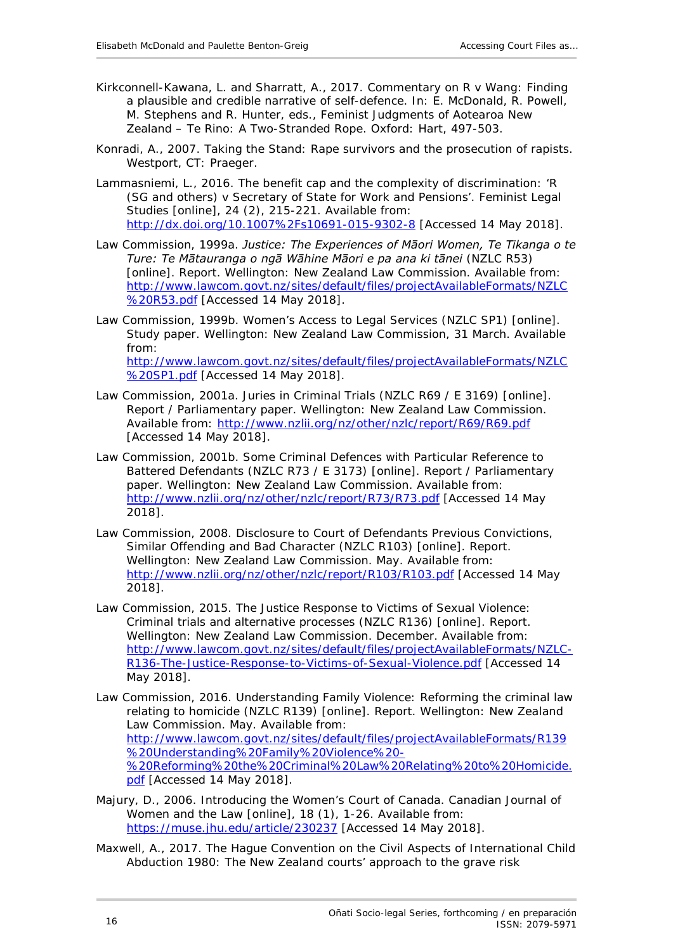- Kirkconnell-Kawana, L. and Sharratt, A., 2017. Commentary on *R v Wang*: Finding a plausible and credible narrative of self-defence. *In*: E. McDonald, R. Powell, M. Stephens and R. Hunter, eds., *Feminist Judgments of Aotearoa New Zealand – Te Rino: A Two-Stranded Rope.* Oxford: Hart, 497-503.
- Konradi, A., 2007. *Taking the Stand: Rape survivors and the prosecution of rapists.* Westport, CT: Praeger.
- Lammasniemi, L., 2016. The benefit cap and the complexity of discrimination: 'R (SG and others) v Secretary of State for Work and Pensions'. *Feminist Legal Studies* [online], 24 (2), 215-221. Available from: <http://dx.doi.org/10.1007%2Fs10691-015-9302-8> [Accessed 14 May 2018].
- Law Commission, 1999a. *Justice: The Experiences of Māori Women, Te Tikanga o te Ture: Te Mātauranga o ngā Wāhine Māori e pa ana ki tānei* (NZLC R53) [online]. Report. Wellington: New Zealand Law Commission. Available from: [http://www.lawcom.govt.nz/sites/default/files/projectAvailableFormats/NZLC](http://www.lawcom.govt.nz/sites/default/files/projectAvailableFormats/NZLC%20R53.pdf) [%20R53.pdf](http://www.lawcom.govt.nz/sites/default/files/projectAvailableFormats/NZLC%20R53.pdf) [Accessed 14 May 2018].
- Law Commission, 1999b. *Women's Access to Legal Services* (NZLC SP1) [online]. Study paper. Wellington: New Zealand Law Commission, 31 March. Available from: [http://www.lawcom.govt.nz/sites/default/files/projectAvailableFormats/NZLC](http://www.lawcom.govt.nz/sites/default/files/projectAvailableFormats/NZLC%20SP1.pdf) [%20SP1.pdf](http://www.lawcom.govt.nz/sites/default/files/projectAvailableFormats/NZLC%20SP1.pdf) [Accessed 14 May 2018].
- Law Commission, 2001a. *Juries in Criminal Trials* (NZLC R69 / E 3169) [online]. Report / Parliamentary paper. Wellington: New Zealand Law Commission. Available from:<http://www.nzlii.org/nz/other/nzlc/report/R69/R69.pdf> [Accessed 14 May 2018].
- Law Commission, 2001b. *Some Criminal Defences with Particular Reference to Battered Defendants* (NZLC R73 / E 3173) [online]. Report / Parliamentary paper. Wellington: New Zealand Law Commission. Available from: <http://www.nzlii.org/nz/other/nzlc/report/R73/R73.pdf> [Accessed 14 May 2018].
- Law Commission, 2008. *Disclosure to Court of Defendants Previous Convictions, Similar Offending and Bad Character* (NZLC R103) [online]. Report. Wellington: New Zealand Law Commission. May. Available from: <http://www.nzlii.org/nz/other/nzlc/report/R103/R103.pdf> [Accessed 14 May 2018].
- Law Commission, 2015. *The Justice Response to Victims of Sexual Violence: Criminal trials and alternative processes* (NZLC R136) [online]. Report. Wellington: New Zealand Law Commission. December. Available from: [http://www.lawcom.govt.nz/sites/default/files/projectAvailableFormats/NZLC-](http://www.lawcom.govt.nz/sites/default/files/projectAvailableFormats/NZLC-R136-The-Justice-Response-to-Victims-of-Sexual-Violence.pdf)[R136-The-Justice-Response-to-Victims-of-Sexual-Violence.pdf](http://www.lawcom.govt.nz/sites/default/files/projectAvailableFormats/NZLC-R136-The-Justice-Response-to-Victims-of-Sexual-Violence.pdf) [Accessed 14 May 2018].
- Law Commission, 2016. *Understanding Family Violence: Reforming the criminal law relating to homicide* (NZLC R139) [online]. Report. Wellington: New Zealand Law Commission. May. Available from: [http://www.lawcom.govt.nz/sites/default/files/projectAvailableFormats/R139](http://www.lawcom.govt.nz/sites/default/files/projectAvailableFormats/R139%20Understanding%20Family%20Violence%20-%20Reforming%20the%20Criminal%20Law%20Relating%20to%20Homicide.pdf) [%20Understanding%20Family%20Violence%20-](http://www.lawcom.govt.nz/sites/default/files/projectAvailableFormats/R139%20Understanding%20Family%20Violence%20-%20Reforming%20the%20Criminal%20Law%20Relating%20to%20Homicide.pdf) [%20Reforming%20the%20Criminal%20Law%20Relating%20to%20Homicide.](http://www.lawcom.govt.nz/sites/default/files/projectAvailableFormats/R139%20Understanding%20Family%20Violence%20-%20Reforming%20the%20Criminal%20Law%20Relating%20to%20Homicide.pdf) [pdf](http://www.lawcom.govt.nz/sites/default/files/projectAvailableFormats/R139%20Understanding%20Family%20Violence%20-%20Reforming%20the%20Criminal%20Law%20Relating%20to%20Homicide.pdf) [Accessed 14 May 2018].
- Majury, D., 2006. Introducing the Women's Court of Canada. *Canadian Journal of Women and the Law* [online], 18 (1), 1-26. Available from: <https://muse.jhu.edu/article/230237> [Accessed 14 May 2018].
- Maxwell, A., 2017. The Hague Convention on the Civil Aspects of International Child Abduction 1980: The New Zealand courts' approach to the grave risk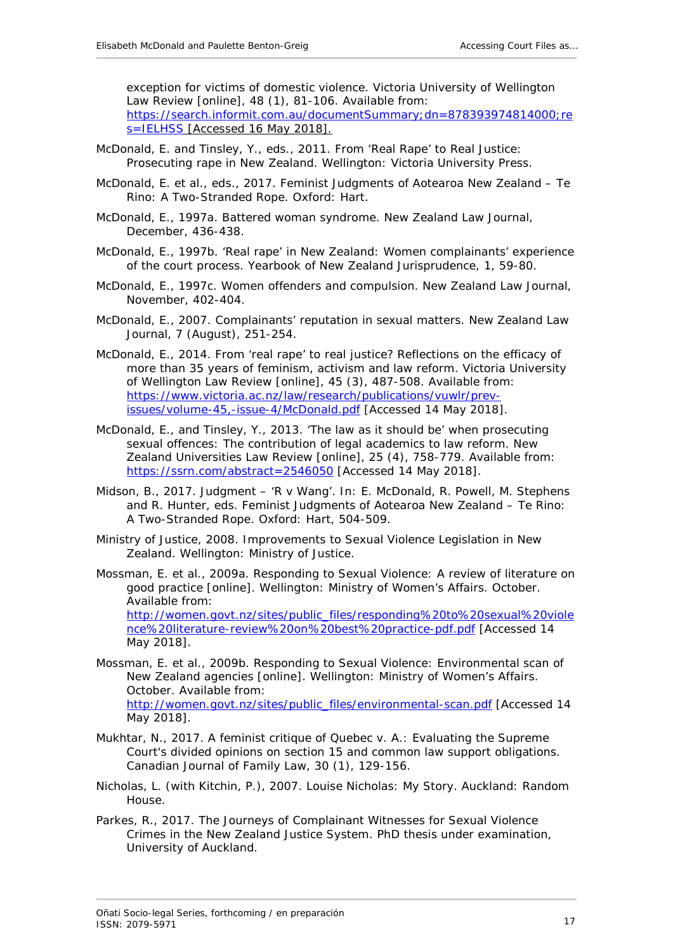exception for victims of domestic violence. *Victoria University of Wellington Law Review* [online], 48 (1), 81-106. Available from: [https://search.informit.com.au/documentSummary;dn=878393974814000;re](https://search.informit.com.au/documentSummary;dn=878393974814000;res=IELHSS) [s=IELHSS](https://search.informit.com.au/documentSummary;dn=878393974814000;res=IELHSS) [Accessed 16 May 2018].

- McDonald, E. and Tinsley, Y., eds., 2011. *From 'Real Rape' to Real Justice: Prosecuting rape in New Zealand*. Wellington: Victoria University Press.
- McDonald, E. *et al*., eds., 2017. *Feminist Judgments of Aotearoa New Zealand – Te Rino: A Two-Stranded Rope.* Oxford: Hart.
- McDonald, E., 1997a. Battered woman syndrome. *New Zealand Law Journal*, December, 436-438.
- McDonald, E., 1997b. 'Real rape' in New Zealand: Women complainants' experience of the court process. *Yearbook of New Zealand Jurisprudence*, 1, 59-80.
- McDonald, E., 1997c. Women offenders and compulsion. *New Zealand Law Journal*, November, 402-404.
- McDonald, E., 2007. Complainants' reputation in sexual matters. *New Zealand Law Journal*, 7 (August), 251-254.
- McDonald, E., 2014. From 'real rape' to real justice? Reflections on the efficacy of more than 35 years of feminism, activism and law reform. *Victoria University of Wellington Law Review* [online], 45 (3), 487-508. Available from: [https://www.victoria.ac.nz/law/research/publications/vuwlr/prev](https://www.victoria.ac.nz/law/research/publications/vuwlr/prev-issues/volume-45,-issue-4/McDonald.pdf)[issues/volume-45,-issue-4/McDonald.pdf](https://www.victoria.ac.nz/law/research/publications/vuwlr/prev-issues/volume-45,-issue-4/McDonald.pdf) [Accessed 14 May 2018].
- McDonald, E., and Tinsley, Y., 2013. 'The law as it should be' when prosecuting sexual offences: The contribution of legal academics to law reform*. New Zealand Universities Law Review* [online], 25 (4), 758-779. Available from: <https://ssrn.com/abstract=2546050> [Accessed 14 May 2018].
- Midson, B., 2017. Judgment 'R v Wang'. *In*: E. McDonald, R. Powell, M. Stephens and R. Hunter, eds. *Feminist Judgments of Aotearoa New Zealand – Te Rino: A Two-Stranded Rope.* Oxford: Hart, 504-509.
- Ministry of Justice, 2008. *Improvements to Sexual Violence Legislation in New Zealand.* Wellington: Ministry of Justice.
- Mossman, E. *et al.*, 2009a. *Responding to Sexual Violence: A review of literature on good practice* [online]. Wellington: Ministry of Women's Affairs. October. Available from: [http://women.govt.nz/sites/public\\_files/responding%20to%20sexual%20viole](http://women.govt.nz/sites/public_files/responding%20to%20sexual%20violence%20literature-review%20on%20best%20practice-pdf.pdf) [nce%20literature-review%20on%20best%20practice-pdf.pdf](http://women.govt.nz/sites/public_files/responding%20to%20sexual%20violence%20literature-review%20on%20best%20practice-pdf.pdf) [Accessed 14 May 2018].
- Mossman, E. *et al*., 2009b. *Responding to Sexual Violence: Environmental scan of New Zealand agencies* [online]. Wellington: Ministry of Women's Affairs. October. Available from: [http://women.govt.nz/sites/public\\_files/environmental-scan.pdf](http://women.govt.nz/sites/public_files/environmental-scan.pdf) [Accessed 14 May 2018].
- Mukhtar, N., 2017. A feminist critique of *Quebec v. A*.: Evaluating the Supreme Court's divided opinions on section 15 and common law support obligations. *Canadian Journal of Family Law*, 30 (1), 129-156.
- Nicholas, L. (with Kitchin, P.), 2007. *Louise Nicholas: My Story*. Auckland: Random House.
- Parkes, R., 2017. *The Journeys of Complainant Witnesses for Sexual Violence Crimes in the New Zealand Justice System.* PhD thesis under examination, University of Auckland.